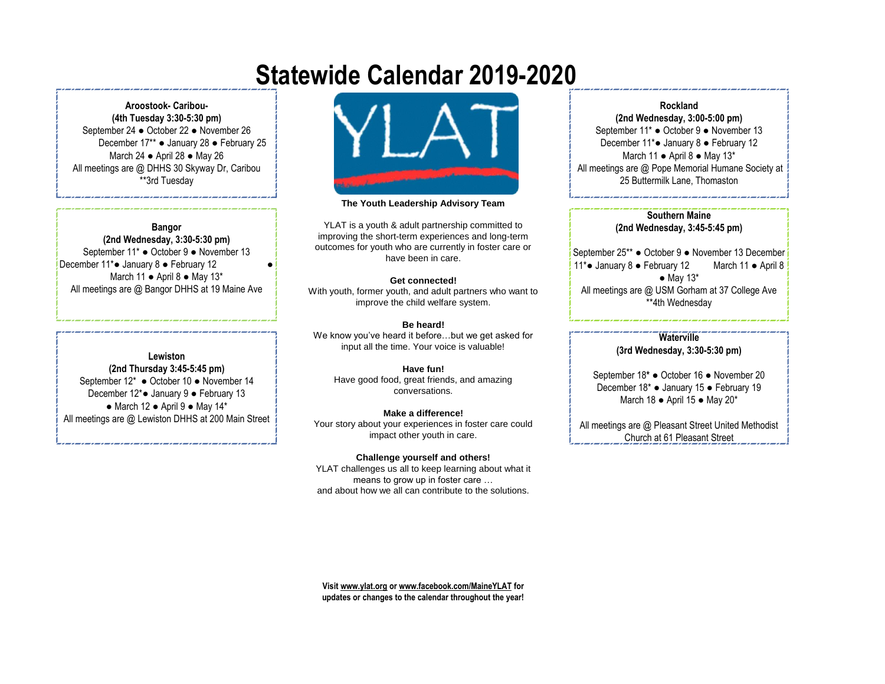# **Statewide Calendar 2019-2020**

**Aroostook- Caribou- (4th Tuesday 3:30-5:30 pm)** September 24 ● October 22 ● November 26 December 17\*\* ● January 28 ● February 25 March 24 ● April 28 ● May 26 All meetings are @ DHHS 30 Skyway Dr, Caribou \*\*3rd Tuesday

#### **Bangor**

**(2nd Wednesday, 3:30-5:30 pm)** September 11\* ● October 9 ● November 13 December 11\*● January 8 ● February 12 ● March 11 ● April 8 ● May 13\* All meetings are @ Bangor DHHS at 19 Maine Ave

#### **Lewiston**

**(2nd Thursday 3:45-5:45 pm)** September 12\* ● October 10 ● November 14 December 12\*● January 9 ● February 13 ● March 12 ● April 9 ● May 14\* All meetings are @ Lewiston DHHS at 200 Main Street



#### **The Youth Leadership Advisory Team**

YLAT is a youth & adult partnership committed to improving the short-term experiences and long-term outcomes for youth who are currently in foster care or have been in care.

#### **Get connected!**

With youth, former youth, and adult partners who want to improve the child welfare system.

#### **Be heard!**

We know you've heard it before…but we get asked for input all the time. Your voice is valuable!

#### **Have fun!**

Have good food, great friends, and amazing conversations.

#### **Make a difference!**

Your story about your experiences in foster care could impact other youth in care.

#### **Challenge yourself and others!**

YLAT challenges us all to keep learning about what it means to grow up in foster care … and about how we all can contribute to the solutions.

#### **Rockland**

**(2nd Wednesday, 3:00-5:00 pm)** September 11\* ● October 9 ● November 13 December 11\*● January 8 ● February 12 March 11 ● April 8 ● May 13\* All meetings are @ Pope Memorial Humane Society at 25 Buttermilk Lane, Thomaston

#### **Southern Maine (2nd Wednesday, 3:45-5:45 pm)**

September 25\*\* ● October 9 ● November 13 December 11\*● January 8 ● February 12 March 11 ● April 8  $\bullet$  May 13\* All meetings are @ USM Gorham at 37 College Ave \*\*4th Wednesday

#### **Waterville (3rd Wednesday, 3:30-5:30 pm)**

September 18**\*** ● October 16 ● November 20 December 18\* ● January 15 ● February 19 March 18 ● April 15 ● May 20\*

All meetings are @ Pleasant Street United Methodist Church at 61 Pleasant Street

**Visit www.ylat.org or www.facebook.com/MaineYLAT for updates or changes to the calendar throughout the year!**